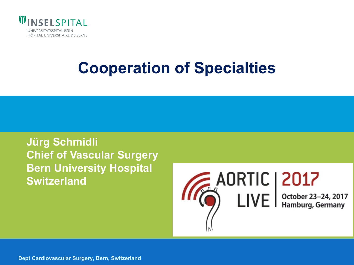

# **Cooperation of Specialties**

**Jürg Schmidli Chief of Vascular Surgery Bern University Hospital Switzerland**

 $\bigcirc$  AORTIC | 2017<br>  $\bigcirc$  LIVE |  $\bigcirc$  Dctober 23–24, 2017

 $H$ 

**Dept Cardiovascular Surgery, Bern, Switzerland**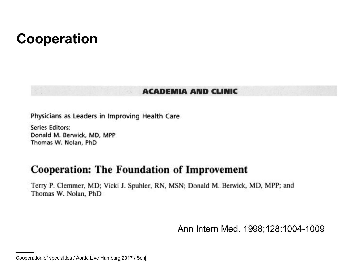#### **Cooperation**

#### **ACADEMIA AND CLINIC**

Physicians as Leaders in Improving Health Care

**Series Editors:** Donald M. Berwick, MD, MPP Thomas W. Nolan, PhD

#### **Cooperation: The Foundation of Improvement**

Terry P. Clemmer, MD; Vicki J. Spuhler, RN, MSN; Donald M. Berwick, MD, MPP; and Thomas W. Nolan, PhD

Ann Intern Med. 1998;128:1004-1009

Cooperation of specialties / Aortic Live Hamburg 2017 / Schj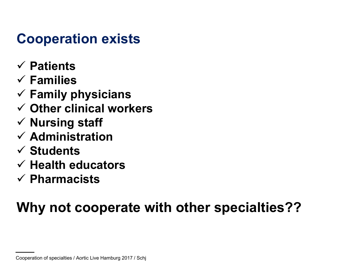## **Cooperation exists**

- ü **Patients**
- ü **Families**
- ü **Family physicians**
- ü **Other clinical workers**
- ü **Nursing staff**
- ü **Administration**
- ü **Students**
- ü **Health educators**
- ü **Pharmacists**

## **Why not cooperate with other specialties??**

Cooperation of specialties / Aortic Live Hamburg 2017 / Schj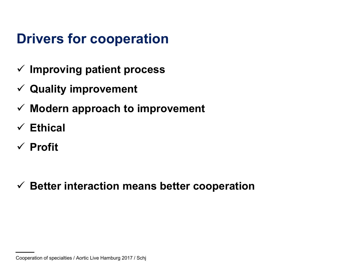## **Drivers for cooperation**

- ü **Improving patient process**
- ü **Quality improvement**
- ü **Modern approach to improvement**
- ü **Ethical**
- ü **Profit**

ü **Better interaction means better cooperation**

Cooperation of specialties / Aortic Live Hamburg 2017 / Schj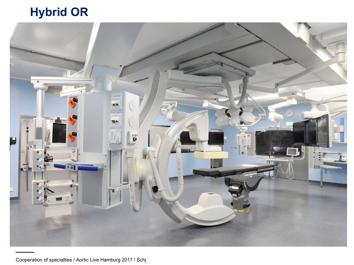#### **Hybrid OR**

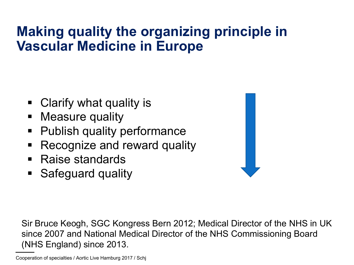## **Making quality the organizing principle in Vascular Medicine in Europe**

- Clarify what quality is
- Measure quality
- § Publish quality performance
- Recognize and reward quality
- § Raise standards
- Safeguard quality



Sir Bruce Keogh, SGC Kongress Bern 2012; Medical Director of the NHS in UK since 2007 and National Medical Director of the NHS Commissioning Board (NHS England) since 2013.

Cooperation of specialties / Aortic Live Hamburg 2017 / Schj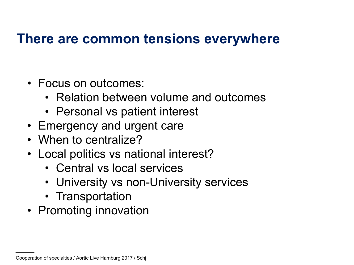#### **There are common tensions everywhere**

- Focus on outcomes:
	- Relation between volume and outcomes
	- Personal vs patient interest
- Emergency and urgent care
- When to centralize?
- Local politics vs national interest?
	- Central vs local services
	- University vs non-University services
	- Transportation
- Promoting innovation

Cooperation of specialties / Aortic Live Hamburg 2017 / Schj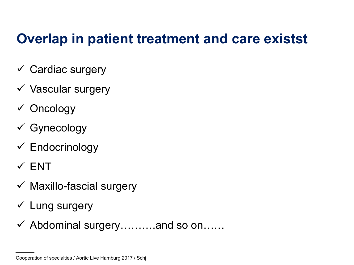#### **Overlap in patient treatment and care existst**

- $\checkmark$  Cardiac surgery
- $\checkmark$  Vascular surgery
- $\checkmark$  Oncology
- $\checkmark$  Gynecology
- $\checkmark$  Endocrinology
- $\times$  ENT
- $\checkmark$  Maxillo-fascial surgery
- $\checkmark$  Lung surgery
- $\checkmark$  Abdominal surgery……...and so on……

Cooperation of specialties / Aortic Live Hamburg 2017 / Schj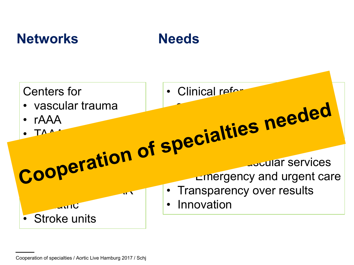#### **Networks Needs**





Cooperation of specialties / Aortic Live Hamburg 2017 / Schj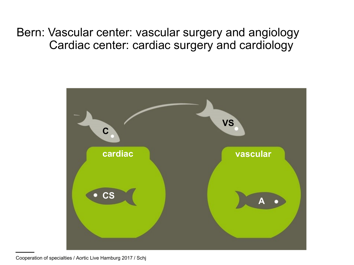Bern: Vascular center: vascular surgery and angiology Cardiac center: cardiac surgery and cardiology

![](_page_9_Figure_1.jpeg)

Cooperation of specialties / Aortic Live Hamburg 2017 / Schj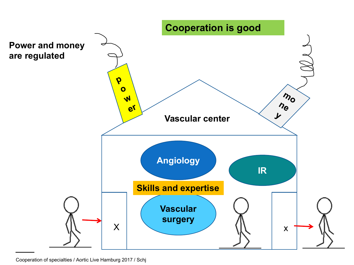![](_page_10_Figure_0.jpeg)

Cooperation of specialties / Aortic Live Hamburg 2017 / Schj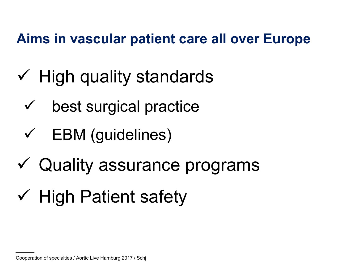## **Aims in vascular patient care all over Europe**

- $\checkmark$  High quality standards
	- $\checkmark$  best surgical practice
	- $\checkmark$  EBM (guidelines)
- $\checkmark$  Quality assurance programs
- $\checkmark$  High Patient safety

Cooperation of specialties / Aortic Live Hamburg 2017 / Schj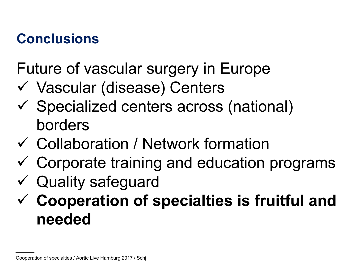## **Conclusions**

Future of vascular surgery in Europe

- ü Vascular (disease) Centers
- $\checkmark$  Specialized centers across (national) borders
- $\checkmark$  Collaboration / Network formation
- $\checkmark$  Corporate training and education programs
- $\checkmark$  Quality safeguard
- ü **Cooperation of specialties is fruitful and needed**

Cooperation of specialties / Aortic Live Hamburg 2017 / Schj